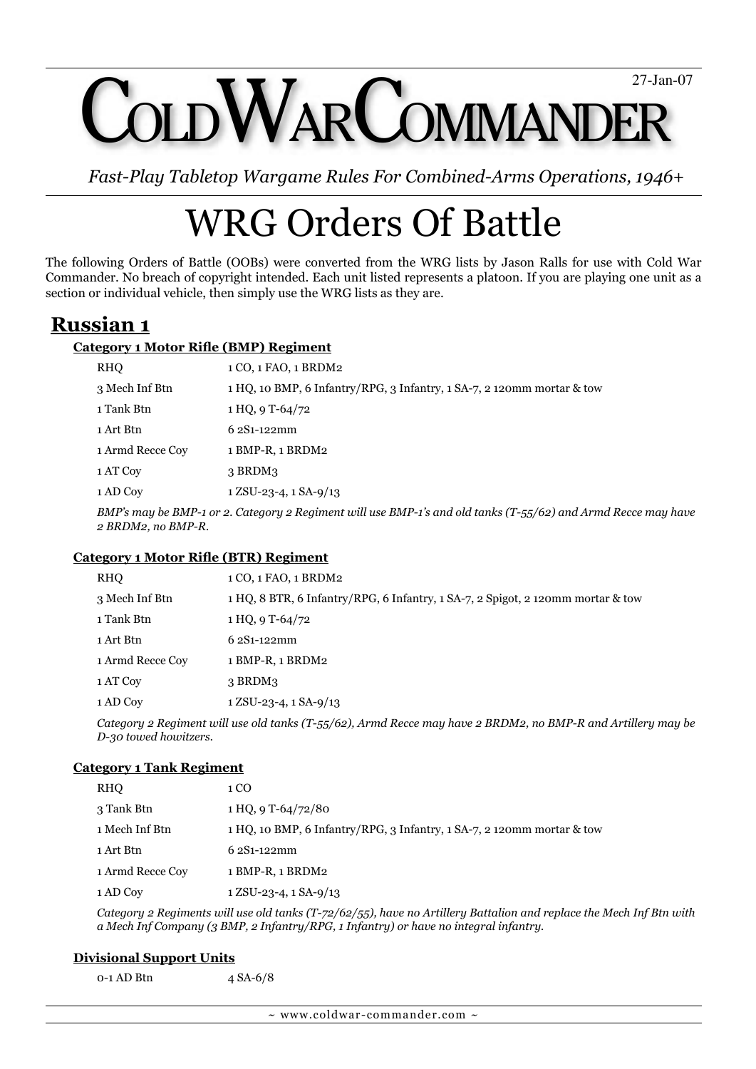OLD WARCOMMANDER 27-Jan-07

*Fast-Play Tabletop Wargame Rules For Combined-Arms Operations, 1946+*

# WRG Orders Of Battle

The following Orders of Battle (OOBs) were converted from the WRG lists by Jason Ralls for use with Cold War Commander. No breach of copyright intended. Each unit listed represents a platoon. If you are playing one unit as a section or individual vehicle, then simply use the WRG lists as they are.

# **Russian 1**

## **Category 1 Motor Rifle (BMP) Regiment**

| <b>RHO</b>                                                                                                                   | 1 CO, 1 FAO, 1 BRDM2                                                   |
|------------------------------------------------------------------------------------------------------------------------------|------------------------------------------------------------------------|
| 3 Mech Inf Btn                                                                                                               | 1 HQ, 10 BMP, 6 Infantry/RPG, 3 Infantry, 1 SA-7, 2 120mm mortar & tow |
| 1 Tank Btn                                                                                                                   | 1 HO, 9 T-64/72                                                        |
| 1 Art Btn                                                                                                                    | $62S1-122mm$                                                           |
| 1 Armd Recce Coy                                                                                                             | 1 BMP-R, 1 BRDM2                                                       |
| 1 AT Coy                                                                                                                     | $3$ BRDM $3$                                                           |
| 1 AD Coy                                                                                                                     | $1$ ZSU-23-4, $1$ SA-9/13                                              |
| $DMD_2$ may be $DMD_1$ and $Ceta$ and $Deta$ in $m$ in $Damp$ is an $DMD_1$ is and $old$ taples $(T = l(c)$ and $l$ und $Dq$ |                                                                        |

*BMP's may be BMP-1 or 2. Category 2 Regiment will use BMP-1's and old tanks (T-55/62) and Armd Recce may have 2 BRDM2, no BMP-R.*

### **Category 1 Motor Rifle (BTR) Regiment**

| RHO              | 1 CO, 1 FAO, 1 BRDM2                                                            |
|------------------|---------------------------------------------------------------------------------|
| 3 Mech Inf Btn   | 1 HQ, 8 BTR, 6 Infantry/RPG, 6 Infantry, 1 SA-7, 2 Spigot, 2 120mm mortar & tow |
| 1 Tank Btn       | 1 HO, 9 T-64/72                                                                 |
| 1 Art Btn        | 6 2S1-122mm                                                                     |
| 1 Armd Recce Coy | 1 BMP-R, 1 BRDM2                                                                |
| 1 AT Coy         | $3$ BRDM $3$                                                                    |
| 1 AD Coy         | $1$ ZSU-23-4, $1$ SA-9/13                                                       |

*Category 2 Regiment will use old tanks (T-55/62), Armd Recce may have 2 BRDM2, no BMP-R and Artillery may be D-30 towed howitzers.*

### **Category 1 Tank Regiment**

| RHO              | 1 CO                                                                   |
|------------------|------------------------------------------------------------------------|
| 3 Tank Btn       | $1 HQ$ , 9 T-64/72/80                                                  |
| 1 Mech Inf Btn   | 1 HQ, 10 BMP, 6 Infantry/RPG, 3 Infantry, 1 SA-7, 2 120mm mortar & tow |
| 1 Art Btn        | $62S1-122mm$                                                           |
| 1 Armd Recce Coy | 1 BMP-R, 1 BRDM2                                                       |
| 1 AD Coy         | $1$ ZSU-23-4, $1$ SA-9/13                                              |

*Category 2 Regiments will use old tanks (T-72/62/55), have no Artillery Battalion and replace the Mech Inf Btn with a Mech Inf Company (3 BMP, 2 Infantry/RPG, 1 Infantry) or have no integral infantry.*

### **Divisional Support Units**

0-1 AD Btn 4 SA-6/8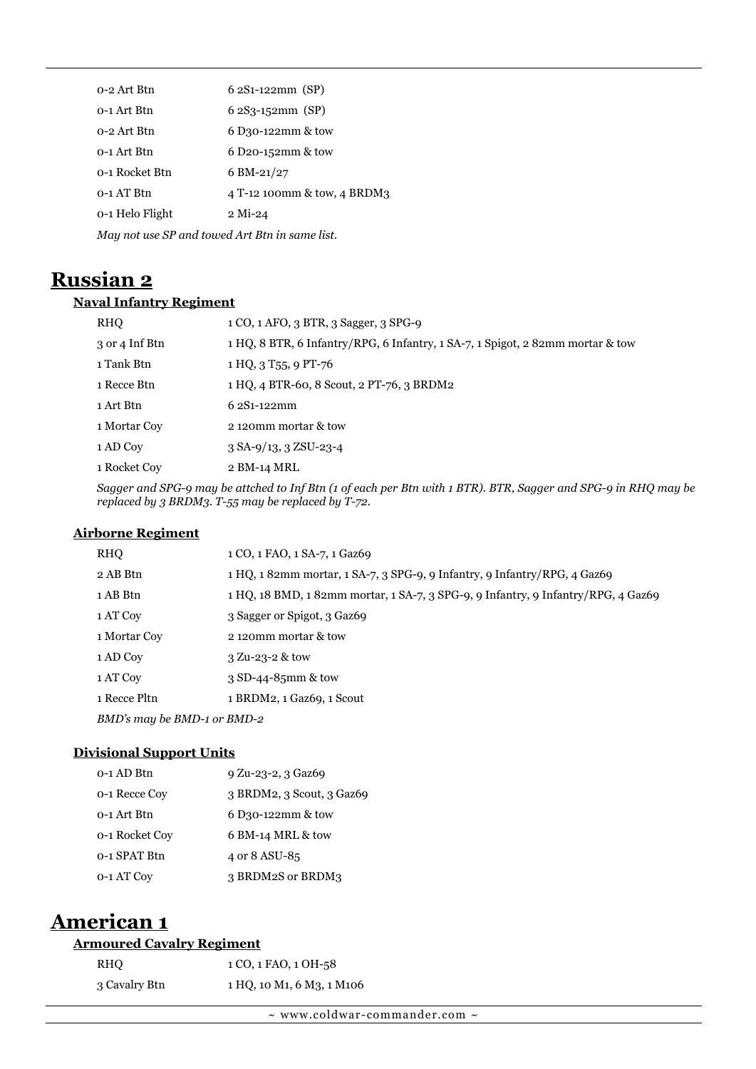| 0-2 Art Btn                                    | $62S1-122mm$ (SP)           |  |
|------------------------------------------------|-----------------------------|--|
| 0-1 Art Btn                                    | $62S_3-152mm$ (SP)          |  |
| 0-2 Art Btn                                    | 6 D30-122mm & tow           |  |
| 0-1 Art Btn                                    | 6 D20-152mm & tow           |  |
| 0-1 Rocket Btn                                 | $6 \text{ BM-}21/27$        |  |
| 0-1 AT Btn                                     | 4 T-12 100mm & tow, 4 BRDM3 |  |
| 0-1 Helo Flight                                | $2$ Mi-24                   |  |
| May not use SP and towed Art Btn in same list. |                             |  |

# **Russian 2**

## **Naval Infantry Regiment**

| <b>RHO</b>     | 1 CO, 1 AFO, 3 BTR, 3 Sagger, 3 SPG-9                                          |
|----------------|--------------------------------------------------------------------------------|
| 3 or 4 Inf Btn | 1 HQ, 8 BTR, 6 Infantry/RPG, 6 Infantry, 1 SA-7, 1 Spigot, 2 82mm mortar & tow |
| 1 Tank Btn     | 1 HQ, 3 T <sub>55</sub> , 9 PT-76                                              |
| 1 Recce Btn    | 1 HO, 4 BTR-60, 8 Scout, 2 PT-76, 3 BRDM2                                      |
| 1 Art Btn      | $62S1 - 122mm$                                                                 |
| 1 Mortar Coy   | 2120mm mortar & tow                                                            |
| 1 AD Coy       | $3$ SA-9/13, $3$ ZSU-23-4                                                      |
| 1 Rocket Cov   | 2 BM-14 MRL                                                                    |
|                |                                                                                |

*Sagger and SPG-9 may be attched to Inf Btn (1 of each per Btn with 1 BTR). BTR, Sagger and SPG-9 in RHQ may be replaced by 3 BRDM3. T-55 may be replaced by T-72.*

# **Airborne Regiment**

| RHO                         | 1 CO, 1 FAO, 1 SA-7, 1 Gaz69                                                      |
|-----------------------------|-----------------------------------------------------------------------------------|
| 2 AB Btn                    | 1 HQ, 1 82mm mortar, 1 SA-7, 3 SPG-9, 9 Infantry, 9 Infantry/RPG, 4 Gaz69         |
| 1 AB Btn                    | 1 HQ, 18 BMD, 1 82mm mortar, 1 SA-7, 3 SPG-9, 9 Infantry, 9 Infantry/RPG, 4 Gaz69 |
| 1 AT Coy                    | 3 Sagger or Spigot, 3 Gaz69                                                       |
| 1 Mortar Coy                | 2120mm mortar & tow                                                               |
| 1 AD Coy                    | $3 \text{ Z}$ u-23-2 & tow                                                        |
| 1 AT Coy                    | 3 SD-44-85mm & tow                                                                |
| 1 Recce Pltn                | 1 BRDM2, 1 Gaz69, 1 Scout                                                         |
| BMD's may be BMD-1 or BMD-2 |                                                                                   |

#### **Divisional Support Units**

| 0-1 AD Btn     | 9 Zu-23-2, 3 Gaz69        |
|----------------|---------------------------|
| 0-1 Recce Cov  | 3 BRDM2, 3 Scout, 3 Gaz69 |
| 0-1 Art Btn    | 6 D30-122mm & tow         |
| 0-1 Rocket Cov | 6 BM-14 MRL & tow         |
| 0-1 SPAT Btn   | 4 or 8 ASU-85             |
| 0-1 AT Coy     | 3 BRDM2S or BRDM3         |
|                |                           |

# **American 1**

# **Armoured Cavalry Regiment**

| RHO           | 1 CO, 1 FAO, 1 OH-58      |
|---------------|---------------------------|
| 3 Cavalry Btn | 1 HQ, 10 M1, 6 M3, 1 M106 |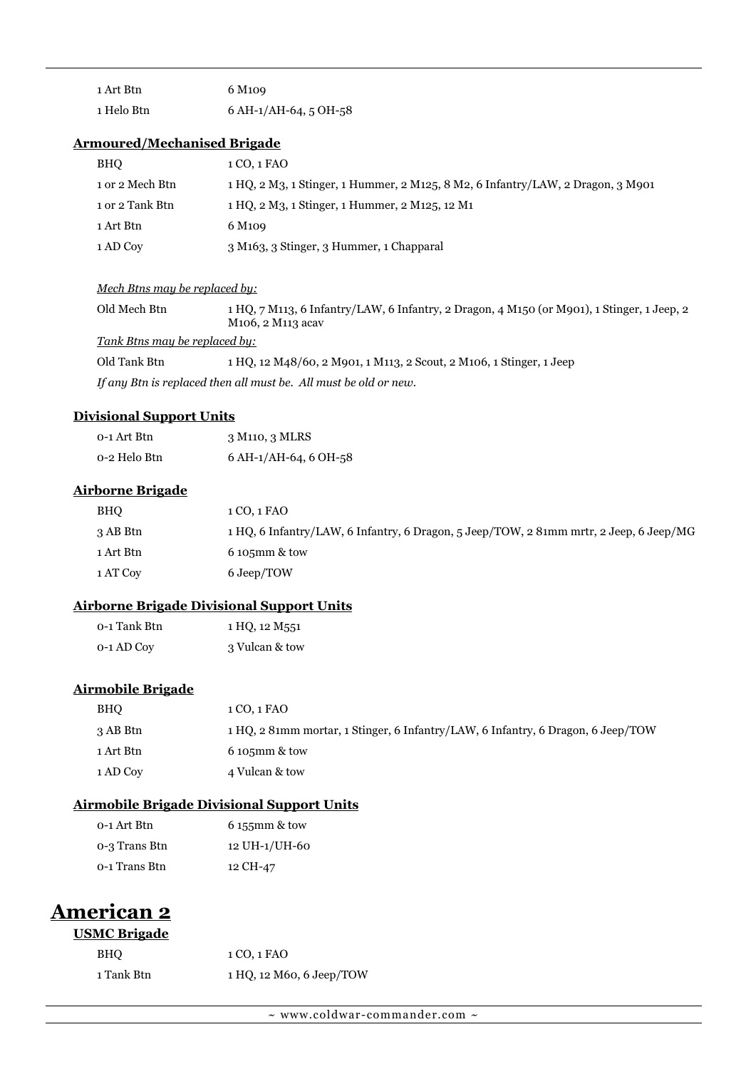| 1 Art Btn  | 6 M <sub>109</sub>    |
|------------|-----------------------|
| 1 Helo Btn | 6 AH-1/AH-64, 5 OH-58 |

#### **Armoured/Mechanised Brigade**

| BHO             | 1 CO, 1 FAO                                                                          |
|-----------------|--------------------------------------------------------------------------------------|
| 1 or 2 Mech Btn | 1 HQ, 2 M3, 1 Stinger, 1 Hummer, 2 M125, 8 M2, 6 Infantry/LAW, 2 Dragon, 3 M901      |
| 1 or 2 Tank Btn | 1 HO, 2 M <sub>3</sub> , 1 Stinger, 1 Hummer, 2 M <sub>125</sub> , 12 M <sub>1</sub> |
| 1 Art Btn       | 6 M <sub>109</sub>                                                                   |
| 1 AD Coy        | 3 M <sub>163</sub> , 3 Stinger, 3 Hummer, 1 Chapparal                                |

#### *Mech Btns may be replaced by:*

| Old Mech Btn                  | 1 HQ, 7 M113, 6 Infantry/LAW, 6 Infantry, 2 Dragon, 4 M150 (or M901), 1 Stinger, 1 Jeep, 2<br>M <sub>106</sub> . 2 M <sub>113</sub> acay                                                                               |
|-------------------------------|------------------------------------------------------------------------------------------------------------------------------------------------------------------------------------------------------------------------|
| Tank Btns may be replaced by: |                                                                                                                                                                                                                        |
| $0.11m + 1.54$                | $\mathbf{H} \cap \mathbf{C}$ , $\mathbf{H} \cap \mathbf{C}$ , $\mathbf{H} \cap \mathbf{C}$ , $\mathbf{H} \cap \mathbf{C}$ , $\mathbf{H} \cap \mathbf{C}$ , $\mathbf{H} \cap \mathbf{C}$ , $\mathbf{H} \cap \mathbf{C}$ |

Old Tank Btn 1 HQ, 12 M48/60, 2 M901, 1 M113, 2 Scout, 2 M106, 1 Stinger, 1 Jeep

*If any Btn is replaced then all must be. All must be old or new.*

## **Divisional Support Units**

| 0-1 Art Btn  | 3 M110, 3 MLRS              |
|--------------|-----------------------------|
| 0-2 Helo Btn | $6$ AH- $1$ /AH-64, 6 OH-58 |

### **Airborne Brigade**

| BHO       | 1 CO, 1 FAO                                                                            |
|-----------|----------------------------------------------------------------------------------------|
| 3 AB Btn  | 1 HQ, 6 Infantry/LAW, 6 Infantry, 6 Dragon, 5 Jeep/TOW, 2 81mm mrtr, 2 Jeep, 6 Jeep/MG |
| 1 Art Btn | $6105$ mm & tow                                                                        |
| 1 AT Coy  | 6 Jeep/TOW                                                                             |

## **Airborne Brigade Divisional Support Units**

| 0-1 Tank Btn | 1 HQ, 12 M551  |
|--------------|----------------|
| 0-1 AD Coy   | 3 Vulcan & tow |

# **Airmobile Brigade**

| <b>BHO</b> | 1 CO, 1 FAO                                                                      |
|------------|----------------------------------------------------------------------------------|
| 3 AB Btn   | 1 HQ, 2 81mm mortar, 1 Stinger, 6 Infantry/LAW, 6 Infantry, 6 Dragon, 6 Jeep/TOW |
| 1 Art Btn  | $6105$ mm & tow                                                                  |
| 1 AD Coy   | 4 Vulcan & tow                                                                   |

## **Airmobile Brigade Divisional Support Units**

| 0-1 Art Btn   | $6155$ mm & tow |
|---------------|-----------------|
| 0-3 Trans Btn | 12 UH-1/UH-60   |
| 0-1 Trans Btn | 12 CH-47        |

# **American 2**

#### **USMC Brigade**

| <b>BHO</b> | 1 CO, 1 FAO              |
|------------|--------------------------|
| 1 Tank Btn | 1 HQ, 12 M60, 6 Jeep/TOW |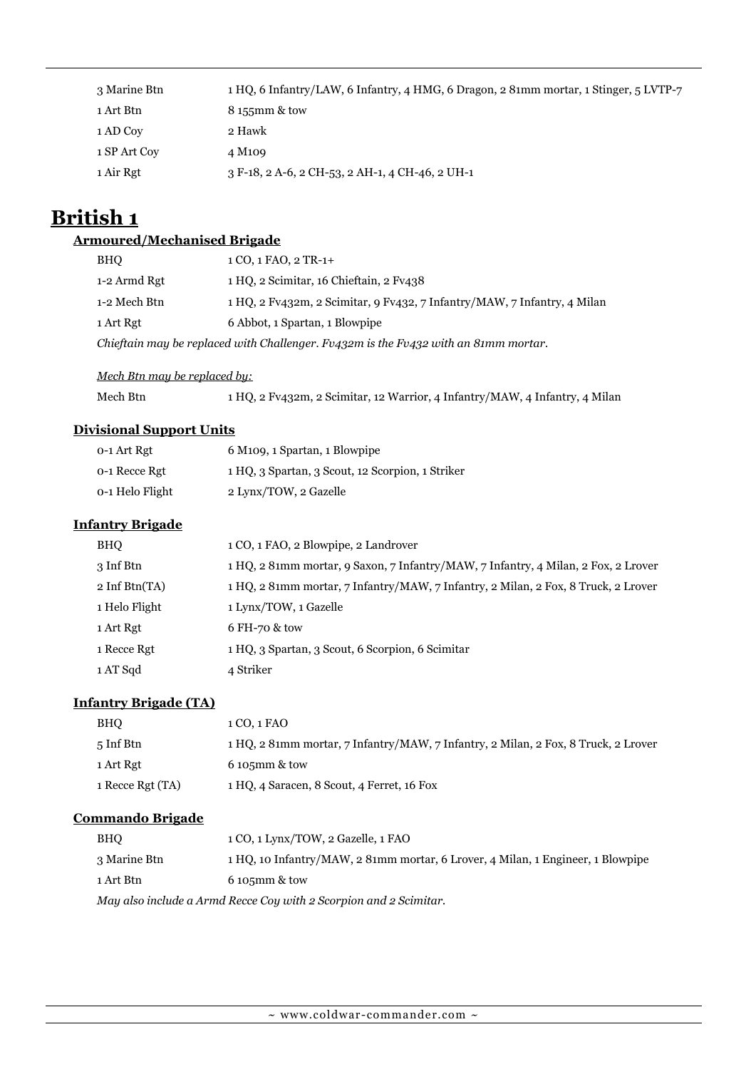| 3 Marine Btn | 1 HQ, 6 Infantry/LAW, 6 Infantry, 4 HMG, 6 Dragon, 2 81mm mortar, 1 Stinger, 5 LVTP-7 |
|--------------|---------------------------------------------------------------------------------------|
| 1 Art Btn    | 8 155mm & tow                                                                         |
| 1 AD Coy     | 2 Hawk                                                                                |
| 1 SP Art Coy | 4 M <sub>1</sub> 09                                                                   |
| 1 Air Rgt    | 3 F-18, 2 A-6, 2 CH-53, 2 AH-1, 4 CH-46, 2 UH-1                                       |

# **British 1**

#### **Armoured/Mechanised Brigade**

| <b>BHO</b>                                                                          | $1 CO, 1 FAO, 2 TR-1+$                                                   |
|-------------------------------------------------------------------------------------|--------------------------------------------------------------------------|
| 1-2 Armd Rgt                                                                        | 1 HQ, 2 Scimitar, 16 Chieftain, 2 Fv438                                  |
| 1-2 Mech Btn                                                                        | 1 HQ, 2 Fv432m, 2 Scimitar, 9 Fv432, 7 Infantry/MAW, 7 Infantry, 4 Milan |
| 1 Art Rgt                                                                           | 6 Abbot, 1 Spartan, 1 Blowpipe                                           |
| Chieftain may be replaced with Challenger. Fv432m is the Fv432 with an 81mm mortar. |                                                                          |

#### *Mech Btn may be replaced by:*

Mech Btn 1 HQ, 2 Fv432m, 2 Scimitar, 12 Warrior, 4 Infantry/MAW, 4 Infantry, 4 Milan

## **Divisional Support Units**

| 0-1 Art Rgt     | 6 M <sub>109</sub> , 1 Spartan, 1 Blowpipe       |
|-----------------|--------------------------------------------------|
| 0-1 Recce Rgt   | 1 HQ, 3 Spartan, 3 Scout, 12 Scorpion, 1 Striker |
| 0-1 Helo Flight | 2 Lynx/TOW, 2 Gazelle                            |

#### **Infantry Brigade**

| BHO                             | 1 CO, 1 FAO, 2 Blowpipe, 2 Landrover                                               |
|---------------------------------|------------------------------------------------------------------------------------|
| 3 Inf Btn                       | 1 HQ, 2 81mm mortar, 9 Saxon, 7 Infantry/MAW, 7 Infantry, 4 Milan, 2 Fox, 2 Lrover |
| $2 \text{ Inf } \text{Btn}(TA)$ | 1 HQ, 2 81mm mortar, 7 Infantry/MAW, 7 Infantry, 2 Milan, 2 Fox, 8 Truck, 2 Lrover |
| 1 Helo Flight                   | 1 Lynx/TOW, 1 Gazelle                                                              |
| 1 Art Rgt                       | 6 FH-70 & tow                                                                      |
| 1 Recce Rgt                     | 1 HQ, 3 Spartan, 3 Scout, 6 Scorpion, 6 Scimitar                                   |
| 1 AT Sqd                        | 4 Striker                                                                          |

#### **Infantry Brigade (TA)**

| <b>BHO</b>       | 1 CO, 1 FAO                                                                        |
|------------------|------------------------------------------------------------------------------------|
| 5 Inf Btn        | 1 HO, 2 81mm mortar, 7 Infantry/MAW, 7 Infantry, 2 Milan, 2 Fox, 8 Truck, 2 Lrover |
| 1 Art Rgt        | $6105$ mm & tow                                                                    |
| 1 Recce Rgt (TA) | 1 HQ, 4 Saracen, 8 Scout, 4 Ferret, 16 Fox                                         |

# **Commando Brigade**

| BHO                                                               | 1 CO, 1 Lynx/TOW, 2 Gazelle, 1 FAO                                              |
|-------------------------------------------------------------------|---------------------------------------------------------------------------------|
| 3 Marine Btn                                                      | 1 HQ, 10 Infantry/MAW, 2 81mm mortar, 6 Lrover, 4 Milan, 1 Engineer, 1 Blowpipe |
| 1 Art Btn                                                         | $6105$ mm & tow                                                                 |
| May also include a Armd Recce Coy with 2 Scorpion and 2 Scimitar. |                                                                                 |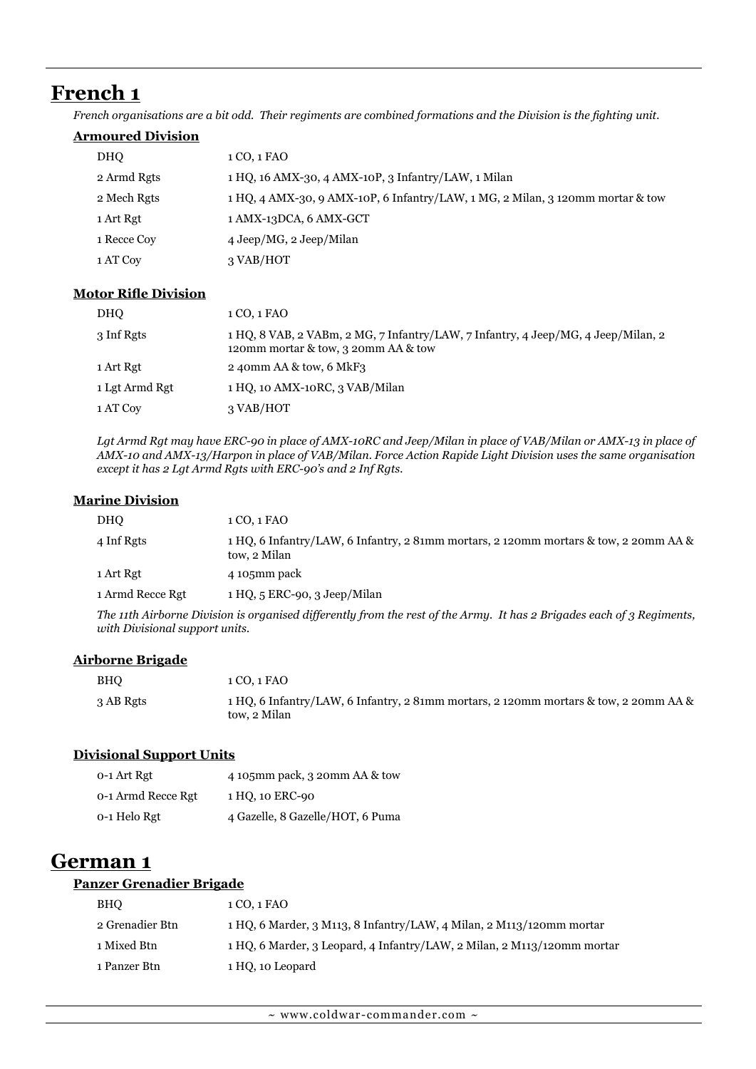# **French 1**

*French organisations are a bit odd. Their regiments are combined formations and the Division is the fighting unit.*

#### **Armoured Division**

| <b>DHO</b>  | 1 CO, 1 FAO                                                                    |
|-------------|--------------------------------------------------------------------------------|
| 2 Armd Rgts | 1 HQ, 16 AMX-30, 4 AMX-10P, 3 Infantry/LAW, 1 Milan                            |
| 2 Mech Rgts | 1 HQ, 4 AMX-30, 9 AMX-10P, 6 Infantry/LAW, 1 MG, 2 Milan, 3 120mm mortar & tow |
| 1 Art Rgt   | 1 AMX-13DCA, 6 AMX-GCT                                                         |
| 1 Recce Coy | 4 Jeep/MG, 2 Jeep/Milan                                                        |
| 1 AT Coy    | 3 VAB/HOT                                                                      |

#### **Motor Rifle Division**

| <b>DHO</b>     | 1 CO, 1 FAO                                                                                                                 |
|----------------|-----------------------------------------------------------------------------------------------------------------------------|
| 3 Inf Rgts     | $1 HQ$ , 8 VAB, 2 VABm, 2 MG, 7 Infantry/LAW, 7 Infantry, 4 Jeep/MG, 4 Jeep/Milan, 2<br>120mm mortar & tow, 3 20mm AA & tow |
| 1 Art Rgt      | 2 40mm AA & tow, 6 MkF3                                                                                                     |
| 1 Lgt Armd Rgt | 1 HQ, 10 AMX-10RC, 3 VAB/Milan                                                                                              |
| 1 AT Coy       | 3 VAB/HOT                                                                                                                   |

Lgt Armd Rgt may have ERC-90 in place of AMX-10RC and Jeep/Milan in place of VAB/Milan or AMX-13 in place of *AMX-10 and AMX-13/Harpon in place of VAB/Milan. Force Action Rapide Light Division uses the same organisation except it has 2 Lgt Armd Rgts with ERC-90's and 2 Inf Rgts.*

#### **Marine Division**

| <b>DHO</b>                                                                                                            | 1 CO, 1 FAO                                                                                          |
|-----------------------------------------------------------------------------------------------------------------------|------------------------------------------------------------------------------------------------------|
| 4 Inf Rgts                                                                                                            | 1 HQ, 6 Infantry/LAW, 6 Infantry, 2 81mm mortars, 2 120mm mortars & tow, 2 20mm AA &<br>tow, 2 Milan |
| 1 Art Rgt                                                                                                             | 4 105mm pack                                                                                         |
| 1 Armd Recce Rgt                                                                                                      | 1 HQ, 5 ERC-90, 3 Jeep/Milan                                                                         |
| The 11th Airborne Division is organised differently from the rest of the Army. It has 2 Brigades each of 3 Regiments, |                                                                                                      |

*with Divisional support units.*

#### **Airborne Brigade**

| <b>BHO</b> | 1 CO. 1 FAO                                                                                          |
|------------|------------------------------------------------------------------------------------------------------|
| 3 AB Rgts  | 1 HQ, 6 Infantry/LAW, 6 Infantry, 2 81mm mortars, 2 120mm mortars & tow, 2 20mm AA &<br>tow. 2 Milan |

#### **Divisional Support Units**

| 0-1 Art Rgt        | 4 105mm pack, 3 20mm AA & tow    |
|--------------------|----------------------------------|
| 0-1 Armd Recce Rgt | 1 HO, 10 ERC-90                  |
| 0-1 Helo Rgt       | 4 Gazelle, 8 Gazelle/HOT, 6 Puma |

# **German 1**

# **Panzer Grenadier Brigade**

| <b>BHO</b>      | 1 CO, 1 FAO                                                             |
|-----------------|-------------------------------------------------------------------------|
| 2 Grenadier Btn | $1 HQ$ , 6 Marder, 3 M113, 8 Infantry/LAW, 4 Milan, 2 M113/120mm mortar |
| 1 Mixed Btn     | 1 HO, 6 Marder, 3 Leopard, 4 Infantry/LAW, 2 Milan, 2 M113/120mm mortar |
| 1 Panzer Btn    | 1 HO, 10 Leopard                                                        |